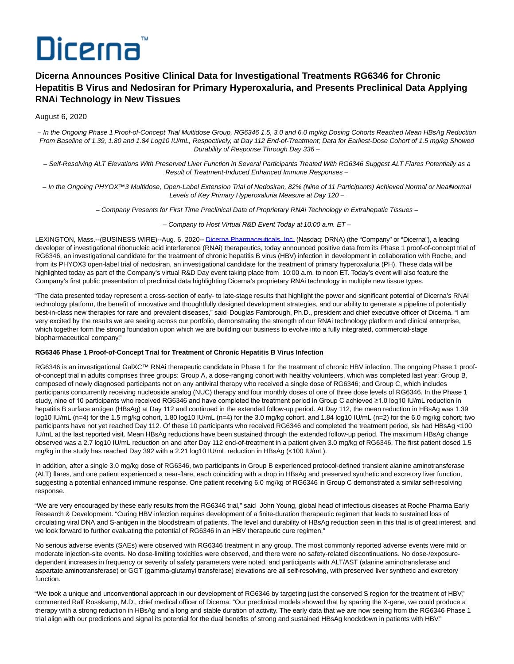# Dicerna

# **Dicerna Announces Positive Clinical Data for Investigational Treatments RG6346 for Chronic Hepatitis B Virus and Nedosiran for Primary Hyperoxaluria, and Presents Preclinical Data Applying RNAi Technology in New Tissues**

# August 6, 2020

– In the Ongoing Phase 1 Proof-of-Concept Trial Multidose Group, RG6346 1.5, 3.0 and 6.0 mg/kg Dosing Cohorts Reached Mean HBsAg Reduction From Baseline of 1.39, 1.80 and 1.84 Log10 IU/mL, Respectively, at Day 112 End-of-Treatment; Data for Earliest-Dose Cohort of 1.5 mg/kg Showed Durability of Response Through Day 336 –

– Self-Resolving ALT Elevations With Preserved Liver Function in Several Participants Treated With RG6346 Suggest ALT Flares Potentially as a Result of Treatment-Induced Enhanced Immune Responses –

– In the Ongoing PHYOX™3 Multidose, Open-Label Extension Trial of Nedosiran, 82% (Nine of 11 Participants) Achieved Normal or Near-Normal Levels of Key Primary Hyperoxaluria Measure at Day 120 –

– Company Presents for First Time Preclinical Data of Proprietary RNAi Technology in Extrahepatic Tissues –

– Company to Host Virtual R&D Event Today at 10:00 a.m. ET –

LEXINGTON, Mass.--(BUSINESS WIRE)--Aug. 6, 2020-[- Dicerna Pharmaceuticals, Inc. \(](https://cts.businesswire.com/ct/CT?id=smartlink&url=http%3A%2F%2Fwww.dicerna.com&esheet=52262106&newsitemid=20200806005345&lan=en-US&anchor=Dicerna+Pharmaceuticals%2C+Inc.&index=1&md5=ef96b761de1b1a6468346f1c398d77b9)Nasdaq: DRNA) (the "Company" or "Dicerna"), a leading developer of investigational ribonucleic acid interference (RNAi) therapeutics, today announced positive data from its Phase 1 proof-of-concept trial of RG6346, an investigational candidate for the treatment of chronic hepatitis B virus (HBV) infection in development in collaboration with Roche, and from its PHYOX3 open-label trial of nedosiran, an investigational candidate for the treatment of primary hyperoxaluria (PH). These data will be highlighted today as part of the Company's virtual R&D Day event taking place from 10:00 a.m. to noon ET. Today's event will also feature the Company's first public presentation of preclinical data highlighting Dicerna's proprietary RNAi technology in multiple new tissue types.

"The data presented today represent a cross-section of early- to late-stage results that highlight the power and significant potential of Dicerna's RNAi technology platform, the benefit of innovative and thoughtfully designed development strategies, and our ability to generate a pipeline of potentially best-in-class new therapies for rare and prevalent diseases," said Douglas Fambrough, Ph.D., president and chief executive officer of Dicerna. "I am very excited by the results we are seeing across our portfolio, demonstrating the strength of our RNAi technology platform and clinical enterprise, which together form the strong foundation upon which we are building our business to evolve into a fully integrated, commercial-stage biopharmaceutical company."

## **RG6346 Phase 1 Proof-of-Concept Trial for Treatment of Chronic Hepatitis B Virus Infection**

RG6346 is an investigational GalXC™ RNAi therapeutic candidate in Phase 1 for the treatment of chronic HBV infection. The ongoing Phase 1 proofof-concept trial in adults comprises three groups: Group A, a dose-ranging cohort with healthy volunteers, which was completed last year; Group B, composed of newly diagnosed participants not on any antiviral therapy who received a single dose of RG6346; and Group C, which includes participants concurrently receiving nucleoside analog (NUC) therapy and four monthly doses of one of three dose levels of RG6346. In the Phase 1 study, nine of 10 participants who received RG6346 and have completed the treatment period in Group C achieved ≥1.0 log10 IU/mL reduction in hepatitis B surface antigen (HBsAg) at Day 112 and continued in the extended follow-up period. At Day 112, the mean reduction in HBsAg was 1.39 log10 IU/mL (n=4) for the 1.5 mg/kg cohort, 1.80 log10 IU/mL (n=4) for the 3.0 mg/kg cohort, and 1.84 log10 IU/mL (n=2) for the 6.0 mg/kg cohort; two participants have not yet reached Day 112. Of these 10 participants who received RG6346 and completed the treatment period, six had HBsAg <100 IU/mL at the last reported visit. Mean HBsAg reductions have been sustained through the extended follow-up period. The maximum HBsAg change observed was a 2.7 log10 IU/mL reduction on and after Day 112 end-of-treatment in a patient given 3.0 mg/kg of RG6346. The first patient dosed 1.5 mg/kg in the study has reached Day 392 with a 2.21 log10 IU/mL reduction in HBsAg (<100 IU/mL).

In addition, after a single 3.0 mg/kg dose of RG6346, two participants in Group B experienced protocol-defined transient alanine aminotransferase (ALT) flares, and one patient experienced a near-flare, each coinciding with a drop in HBsAg and preserved synthetic and excretory liver function, suggesting a potential enhanced immune response. One patient receiving 6.0 mg/kg of RG6346 in Group C demonstrated a similar self-resolving response.

"We are very encouraged by these early results from the RG6346 trial," said John Young, global head of infectious diseases at Roche Pharma Early Research & Development. "Curing HBV infection requires development of a finite-duration therapeutic regimen that leads to sustained loss of circulating viral DNA and S-antigen in the bloodstream of patients. The level and durability of HBsAg reduction seen in this trial is of great interest, and we look forward to further evaluating the potential of RG6346 in an HBV therapeutic cure regimen."

No serious adverse events (SAEs) were observed with RG6346 treatment in any group. The most commonly reported adverse events were mild or moderate injection-site events. No dose-limiting toxicities were observed, and there were no safety-related discontinuations. No dose-/exposuredependent increases in frequency or severity of safety parameters were noted, and participants with ALT/AST (alanine aminotransferase and aspartate aminotransferase) or GGT (gamma-glutamyl transferase) elevations are all self-resolving, with preserved liver synthetic and excretory function.

"We took a unique and unconventional approach in our development of RG6346 by targeting just the conserved S region for the treatment of HBV," commented Ralf Rosskamp, M.D., chief medical officer of Dicerna. "Our preclinical models showed that by sparing the X-gene, we could produce a therapy with a strong reduction in HBsAg and a long and stable duration of activity. The early data that we are now seeing from the RG6346 Phase 1 trial align with our predictions and signal its potential for the dual benefits of strong and sustained HBsAg knockdown in patients with HBV."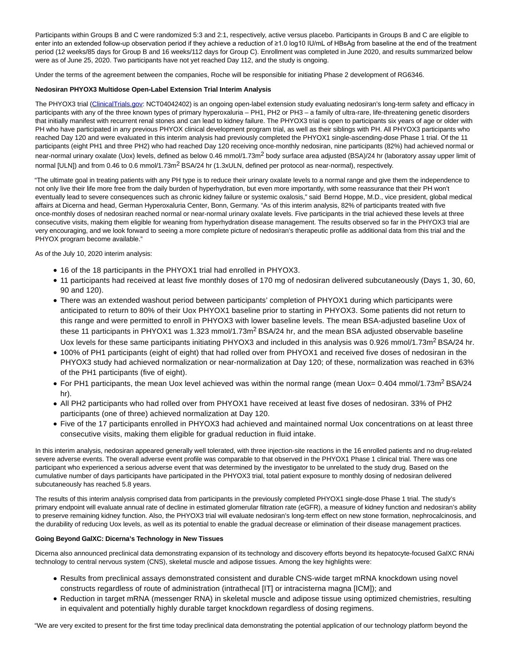Participants within Groups B and C were randomized 5:3 and 2:1, respectively, active versus placebo. Participants in Groups B and C are eligible to enter into an extended follow-up observation period if they achieve a reduction of ≥1.0 log10 IU/mL of HBsAg from baseline at the end of the treatment period (12 weeks/85 days for Group B and 16 weeks/112 days for Group C). Enrollment was completed in June 2020, and results summarized below were as of June 25, 2020. Two participants have not yet reached Day 112, and the study is ongoing.

Under the terms of the agreement between the companies, Roche will be responsible for initiating Phase 2 development of RG6346.

## **Nedosiran PHYOX3 Multidose Open-Label Extension Trial Interim Analysis**

The PHYOX3 trial [\(ClinicalTrials.gov:](https://cts.businesswire.com/ct/CT?id=smartlink&url=http%3A%2F%2FClinicalTrials.gov&esheet=52262106&newsitemid=20200806005345&lan=en-US&anchor=ClinicalTrials.gov&index=2&md5=3a0e4febf252a1ef715ce4f8c9f131b4) NCT04042402) is an ongoing open-label extension study evaluating nedosiran's long-term safety and efficacy in participants with any of the three known types of primary hyperoxaluria – PH1, PH2 or PH3 – a family of ultra-rare, life-threatening genetic disorders that initially manifest with recurrent renal stones and can lead to kidney failure. The PHYOX3 trial is open to participants six years of age or older with PH who have participated in any previous PHYOX clinical development program trial, as well as their siblings with PH. All PHYOX3 participants who reached Day 120 and were evaluated in this interim analysis had previously completed the PHYOX1 single-ascending-dose Phase 1 trial. Of the 11 participants (eight PH1 and three PH2) who had reached Day 120 receiving once-monthly nedosiran, nine participants (82%) had achieved normal or near-normal urinary oxalate (Uox) levels, defined as below 0.46 mmol/1.73m<sup>2</sup> body surface area adjusted (BSA)/24 hr (laboratory assay upper limit of normal [ULN]) and from 0.46 to 0.6 mmol/1.73m<sup>2</sup> BSA/24 hr (1.3xULN, defined per protocol as near-normal), respectively.

"The ultimate goal in treating patients with any PH type is to reduce their urinary oxalate levels to a normal range and give them the independence to not only live their life more free from the daily burden of hyperhydration, but even more importantly, with some reassurance that their PH won't eventually lead to severe consequences such as chronic kidney failure or systemic oxalosis," said Bernd Hoppe, M.D., vice president, global medical affairs at Dicerna and head, German Hyperoxaluria Center, Bonn, Germany. "As of this interim analysis, 82% of participants treated with five once-monthly doses of nedosiran reached normal or near-normal urinary oxalate levels. Five participants in the trial achieved these levels at three consecutive visits, making them eligible for weaning from hyperhydration disease management. The results observed so far in the PHYOX3 trial are very encouraging, and we look forward to seeing a more complete picture of nedosiran's therapeutic profile as additional data from this trial and the PHYOX program become available."

As of the July 10, 2020 interim analysis:

- 16 of the 18 participants in the PHYOX1 trial had enrolled in PHYOX3.
- 11 participants had received at least five monthly doses of 170 mg of nedosiran delivered subcutaneously (Days 1, 30, 60, 90 and 120).
- There was an extended washout period between participants' completion of PHYOX1 during which participants were anticipated to return to 80% of their Uox PHYOX1 baseline prior to starting in PHYOX3. Some patients did not return to this range and were permitted to enroll in PHYOX3 with lower baseline levels. The mean BSA-adjusted baseline Uox of these 11 participants in PHYOX1 was 1.323 mmol/1.73m<sup>2</sup> BSA/24 hr, and the mean BSA adjusted observable baseline Uox levels for these same participants initiating PHYOX3 and included in this analysis was 0.926 mmol/1.73m<sup>2</sup> BSA/24 hr.
- 100% of PH1 participants (eight of eight) that had rolled over from PHYOX1 and received five doses of nedosiran in the PHYOX3 study had achieved normalization or near-normalization at Day 120; of these, normalization was reached in 63% of the PH1 participants (five of eight).
- For PH1 participants, the mean Uox level achieved was within the normal range (mean Uox= 0.404 mmol/1.73m<sup>2</sup> BSA/24 hr).
- All PH2 participants who had rolled over from PHYOX1 have received at least five doses of nedosiran. 33% of PH2 participants (one of three) achieved normalization at Day 120.
- Five of the 17 participants enrolled in PHYOX3 had achieved and maintained normal Uox concentrations on at least three consecutive visits, making them eligible for gradual reduction in fluid intake.

In this interim analysis, nedosiran appeared generally well tolerated, with three injection-site reactions in the 16 enrolled patients and no drug-related severe adverse events. The overall adverse event profile was comparable to that observed in the PHYOX1 Phase 1 clinical trial. There was one participant who experienced a serious adverse event that was determined by the investigator to be unrelated to the study drug. Based on the cumulative number of days participants have participated in the PHYOX3 trial, total patient exposure to monthly dosing of nedosiran delivered subcutaneously has reached 5.8 years.

The results of this interim analysis comprised data from participants in the previously completed PHYOX1 single-dose Phase 1 trial. The study's primary endpoint will evaluate annual rate of decline in estimated glomerular filtration rate (eGFR), a measure of kidney function and nedosiran's ability to preserve remaining kidney function. Also, the PHYOX3 trial will evaluate nedosiran's long-term effect on new stone formation, nephrocalcinosis, and the durability of reducing Uox levels, as well as its potential to enable the gradual decrease or elimination of their disease management practices.

## **Going Beyond GalXC: Dicerna's Technology in New Tissues**

Dicerna also announced preclinical data demonstrating expansion of its technology and discovery efforts beyond its hepatocyte-focused GalXC RNAi technology to central nervous system (CNS), skeletal muscle and adipose tissues. Among the key highlights were:

- Results from preclinical assays demonstrated consistent and durable CNS-wide target mRNA knockdown using novel constructs regardless of route of administration (intrathecal [IT] or intracisterna magna [ICM]); and
- Reduction in target mRNA (messenger RNA) in skeletal muscle and adipose tissue using optimized chemistries, resulting in equivalent and potentially highly durable target knockdown regardless of dosing regimens.

"We are very excited to present for the first time today preclinical data demonstrating the potential application of our technology platform beyond the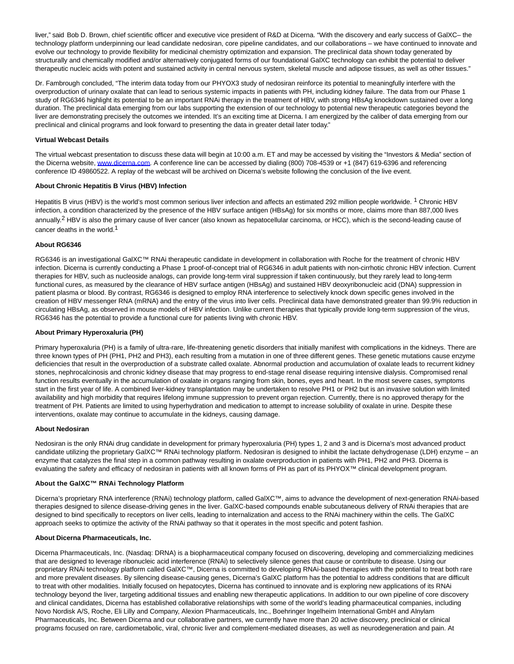liver," said Bob D. Brown, chief scientific officer and executive vice president of R&D at Dicerna. "With the discovery and early success of GalXC– the technology platform underpinning our lead candidate nedosiran, core pipeline candidates, and our collaborations – we have continued to innovate and evolve our technology to provide flexibility for medicinal chemistry optimization and expansion. The preclinical data shown today generated by structurally and chemically modified and/or alternatively conjugated forms of our foundational GalXC technology can exhibit the potential to deliver therapeutic nucleic acids with potent and sustained activity in central nervous system, skeletal muscle and adipose tissues, as well as other tissues."

Dr. Fambrough concluded, "The interim data today from our PHYOX3 study of nedosiran reinforce its potential to meaningfully interfere with the overproduction of urinary oxalate that can lead to serious systemic impacts in patients with PH, including kidney failure. The data from our Phase 1 study of RG6346 highlight its potential to be an important RNAi therapy in the treatment of HBV, with strong HBsAg knockdown sustained over a long duration. The preclinical data emerging from our labs supporting the extension of our technology to potential new therapeutic categories beyond the liver are demonstrating precisely the outcomes we intended. It's an exciting time at Dicerna. I am energized by the caliber of data emerging from our preclinical and clinical programs and look forward to presenting the data in greater detail later today."

# **Virtual Webcast Details**

The virtual webcast presentation to discuss these data will begin at 10:00 a.m. ET and may be accessed by visiting the "Investors & Media" section of the Dicerna website[, www.dicerna.com.](https://cts.businesswire.com/ct/CT?id=smartlink&url=http%3A%2F%2Fwww.dicerna.com&esheet=52262106&newsitemid=20200806005345&lan=en-US&anchor=www.dicerna.com&index=3&md5=7bff3e8176b272aeefd3120547c73350) A conference line can be accessed by dialing (800) 708-4539 or +1 (847) 619-6396 and referencing conference ID 49860522. A replay of the webcast will be archived on Dicerna's website following the conclusion of the live event.

# **About Chronic Hepatitis B Virus (HBV) Infection**

Hepatitis B virus (HBV) is the world's most common serious liver infection and affects an estimated 292 million people worldwide. 1 Chronic HBV infection, a condition characterized by the presence of the HBV surface antigen (HBsAg) for six months or more, claims more than 887,000 lives annually.<sup>2</sup> HBV is also the primary cause of liver cancer (also known as hepatocellular carcinoma, or HCC), which is the second-leading cause of cancer deaths in the world.<sup>1</sup>

# **About RG6346**

RG6346 is an investigational GalXC™ RNAi therapeutic candidate in development in collaboration with Roche for the treatment of chronic HBV infection. Dicerna is currently conducting a Phase 1 proof-of-concept trial of RG6346 in adult patients with non-cirrhotic chronic HBV infection. Current therapies for HBV, such as nucleoside analogs, can provide long-term viral suppression if taken continuously, but they rarely lead to long-term functional cures, as measured by the clearance of HBV surface antigen (HBsAg) and sustained HBV deoxyribonucleic acid (DNA) suppression in patient plasma or blood. By contrast, RG6346 is designed to employ RNA interference to selectively knock down specific genes involved in the creation of HBV messenger RNA (mRNA) and the entry of the virus into liver cells. Preclinical data have demonstrated greater than 99.9% reduction in circulating HBsAg, as observed in mouse models of HBV infection. Unlike current therapies that typically provide long-term suppression of the virus, RG6346 has the potential to provide a functional cure for patients living with chronic HBV.

# **About Primary Hyperoxaluria (PH)**

Primary hyperoxaluria (PH) is a family of ultra-rare, life-threatening genetic disorders that initially manifest with complications in the kidneys. There are three known types of PH (PH1, PH2 and PH3), each resulting from a mutation in one of three different genes. These genetic mutations cause enzyme deficiencies that result in the overproduction of a substrate called oxalate. Abnormal production and accumulation of oxalate leads to recurrent kidney stones, nephrocalcinosis and chronic kidney disease that may progress to end-stage renal disease requiring intensive dialysis. Compromised renal function results eventually in the accumulation of oxalate in organs ranging from skin, bones, eyes and heart. In the most severe cases, symptoms start in the first year of life. A combined liver-kidney transplantation may be undertaken to resolve PH1 or PH2 but is an invasive solution with limited availability and high morbidity that requires lifelong immune suppression to prevent organ rejection. Currently, there is no approved therapy for the treatment of PH. Patients are limited to using hyperhydration and medication to attempt to increase solubility of oxalate in urine. Despite these interventions, oxalate may continue to accumulate in the kidneys, causing damage.

## **About Nedosiran**

Nedosiran is the only RNAi drug candidate in development for primary hyperoxaluria (PH) types 1, 2 and 3 and is Dicerna's most advanced product candidate utilizing the proprietary GalXC™ RNAi technology platform. Nedosiran is designed to inhibit the lactate dehydrogenase (LDH) enzyme – an enzyme that catalyzes the final step in a common pathway resulting in oxalate overproduction in patients with PH1, PH2 and PH3. Dicerna is evaluating the safety and efficacy of nedosiran in patients with all known forms of PH as part of its PHYOX™ clinical development program.

# **About the GalXC™ RNAi Technology Platform**

Dicerna's proprietary RNA interference (RNAi) technology platform, called GalXC™, aims to advance the development of next-generation RNAi-based therapies designed to silence disease-driving genes in the liver. GalXC-based compounds enable subcutaneous delivery of RNAi therapies that are designed to bind specifically to receptors on liver cells, leading to internalization and access to the RNAi machinery within the cells. The GalXC approach seeks to optimize the activity of the RNAi pathway so that it operates in the most specific and potent fashion.

# **About Dicerna Pharmaceuticals, Inc.**

Dicerna Pharmaceuticals, Inc. (Nasdaq: DRNA) is a biopharmaceutical company focused on discovering, developing and commercializing medicines that are designed to leverage ribonucleic acid interference (RNAi) to selectively silence genes that cause or contribute to disease. Using our proprietary RNAi technology platform called GalXC™, Dicerna is committed to developing RNAi-based therapies with the potential to treat both rare and more prevalent diseases. By silencing disease-causing genes, Dicerna's GalXC platform has the potential to address conditions that are difficult to treat with other modalities. Initially focused on hepatocytes, Dicerna has continued to innovate and is exploring new applications of its RNAi technology beyond the liver, targeting additional tissues and enabling new therapeutic applications. In addition to our own pipeline of core discovery and clinical candidates, Dicerna has established collaborative relationships with some of the world's leading pharmaceutical companies, including Novo Nordisk A/S, Roche, Eli Lilly and Company, Alexion Pharmaceuticals, Inc., Boehringer Ingelheim International GmbH and Alnylam Pharmaceuticals, Inc. Between Dicerna and our collaborative partners, we currently have more than 20 active discovery, preclinical or clinical programs focused on rare, cardiometabolic, viral, chronic liver and complement-mediated diseases, as well as neurodegeneration and pain. At